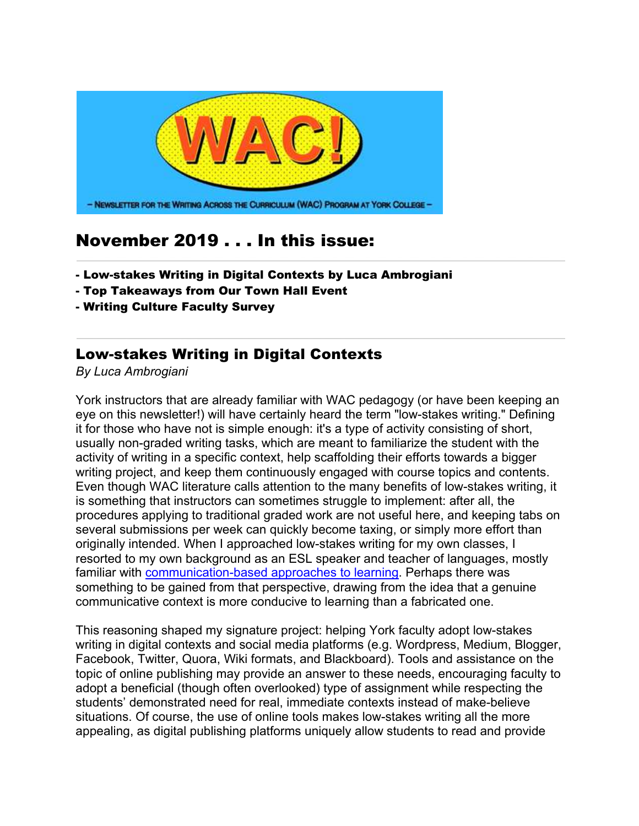

## November 2019 . . . In this issue:

- Low-stakes Writing in Digital Contexts by Luca Ambrogiani
- Top Takeaways from Our Town Hall Event
- Writing Culture Faculty Survey

## Low-stakes Writing in Digital Contexts

*By Luca Ambrogiani*

York instructors that are already familiar with WAC pedagogy (or have been keeping an eye on this newsletter!) will have certainly heard the term "low-stakes writing." Defining it for those who have not is simple enough: it's a type of activity consisting of short, usually non-graded writing tasks, which are meant to familiarize the student with the activity of writing in a specific context, help scaffolding their efforts towards a bigger writing project, and keep them continuously engaged with course topics and contents. Even though WAC literature calls attention to the many benefits of low-stakes writing, it is something that instructors can sometimes struggle to implement: after all, the procedures applying to traditional graded work are not useful here, and keeping tabs on several submissions per week can quickly become taxing, or simply more effort than originally intended. When I approached low-stakes writing for my own classes, I resorted to my own background as an ESL speaker and teacher of languages, mostly familiar with **communication-based approaches to learning**. Perhaps there was something to be gained from that perspective, drawing from the idea that a genuine communicative context is more conducive to learning than a fabricated one.

This reasoning shaped my signature project: helping York faculty adopt low-stakes writing in digital contexts and social media platforms (e.g. Wordpress, Medium, Blogger, Facebook, Twitter, Quora, Wiki formats, and Blackboard). Tools and assistance on the topic of online publishing may provide an answer to these needs, encouraging faculty to adopt a beneficial (though often overlooked) type of assignment while respecting the students' demonstrated need for real, immediate contexts instead of make-believe situations. Of course, the use of online tools makes low-stakes writing all the more appealing, as digital publishing platforms uniquely allow students to read and provide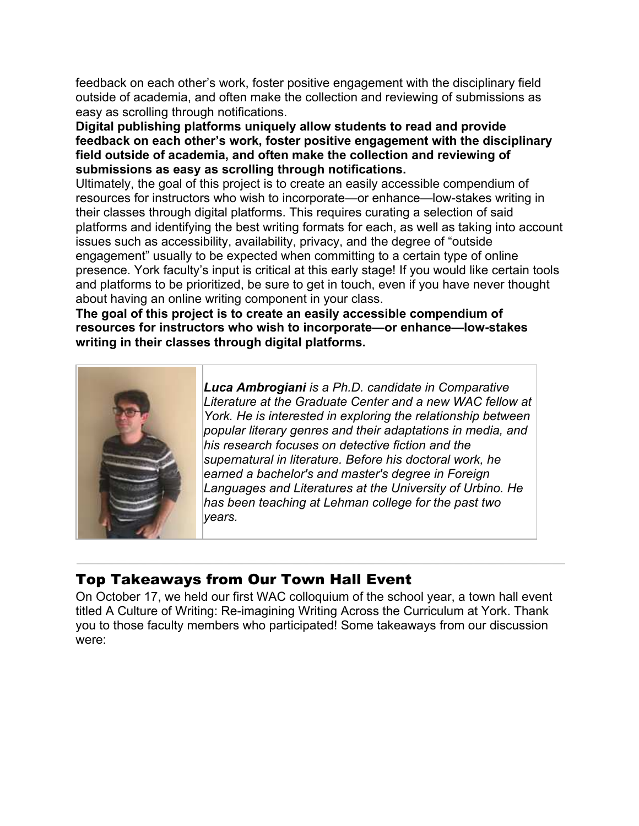feedback on each other's work, foster positive engagement with the disciplinary field outside of academia, and often make the collection and reviewing of submissions as easy as scrolling through notifications.

**Digital publishing platforms uniquely allow students to read and provide feedback on each other's work, foster positive engagement with the disciplinary field outside of academia, and often make the collection and reviewing of submissions as easy as scrolling through notifications.** 

Ultimately, the goal of this project is to create an easily accessible compendium of resources for instructors who wish to incorporate—or enhance—low-stakes writing in their classes through digital platforms. This requires curating a selection of said platforms and identifying the best writing formats for each, as well as taking into account issues such as accessibility, availability, privacy, and the degree of "outside engagement" usually to be expected when committing to a certain type of online presence. York faculty's input is critical at this early stage! If you would like certain tools and platforms to be prioritized, be sure to get in touch, even if you have never thought about having an online writing component in your class.

**The goal of this project is to create an easily accessible compendium of resources for instructors who wish to incorporate—or enhance—low-stakes writing in their classes through digital platforms.** 



*Luca Ambrogiani is a Ph.D. candidate in Comparative Literature at the Graduate Center and a new WAC fellow at York. He is interested in exploring the relationship between popular literary genres and their adaptations in media, and his research focuses on detective fiction and the supernatural in literature. Before his doctoral work, he earned a bachelor's and master's degree in Foreign Languages and Literatures at the University of Urbino. He has been teaching at Lehman college for the past two years.*

## Top Takeaways from Our Town Hall Event

On October 17, we held our first WAC colloquium of the school year, a town hall event titled A Culture of Writing: Re-imagining Writing Across the Curriculum at York. Thank you to those faculty members who participated! Some takeaways from our discussion were: